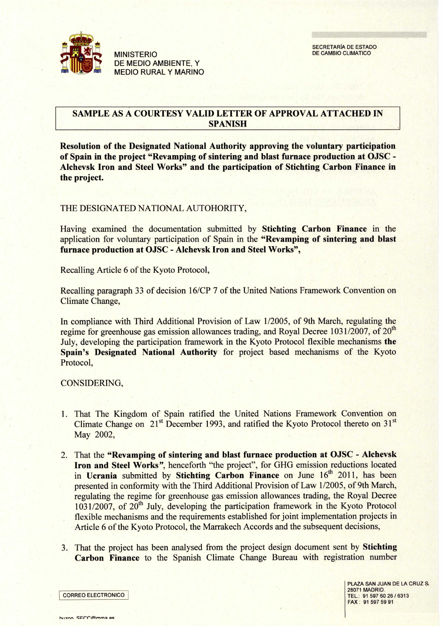

MINISTERIO **DE MEDIO AMBIENTE, Y** MEDIO RURAL Y MARINO

#### SAMPLE AS A COURTESY VALID LETTER OF APPROVAL ATTACHED IN **SPANISH**

**Resolution of the Designated National Authority approving the voluntary participation of Spain in the project "Revamping of sintering and blast furnace production at OJSC - Alchevsk Iron and Steel Works" and the participation of Stichting Carbon Finance in the project.**

#### THE DESIGNATED NATIONAL AUTOHORITY,

Having examined the documentation submitted **by Stichting Carbon Finance in the** application for voluntary participation of Spain in **the "Revamping of sintering and blast furnace production** at OJSC **- Alchevsk Iron and Steel** Works",

Recalling Article 6 of the Kyoto Protocol,

**Recalling paragraph 33 of decision** 16/CP 7 of the **United Nations Framework Convention on** Climate **Change,**

In compliance with Third Additional Provision of Law 1/2005, of 9th March, regulating the regime for greenhouse gas emission allowances trading, and Royal Decree 1031/2007, of 20<sup>th</sup> July, developing the participation famework in the Kyoto Protocol flexible mechanisms the **Spain**'**s Designated National** Authority for project based mechanisms of the Kyoto Protocol,

CONSIDERING,

- 1. That The Kingdom of Spain ratified the United Nations Framework Convention on Climate Change on  $21<sup>st</sup>$  December 1993, and ratified the Kyoto Protocol thereto on  $31<sup>st</sup>$ May 2002,
- 2. That the **"Revamping of sintering and blast furnace production** at OJSC Alchevsk **Iron and Steel** Works", henceforth "the project", for GHG emission reductions located in Ucrania submitted by Stichting Carbon Finance on June 16<sup>th</sup> 2011, has been presented in conformity with the Third Additional Provision of Law 1/2005, of 9th March, regulating the regime for greenhouse gas emission allowances trading, the Royal Decree 1031/2007, of 20<sup>th</sup> July, developing the participation framework in the Kyoto Protocol flexible mechanisms and the requirements established for joint implementation projects in Article 6 of the Kyoto Protocol, the Marrakech Accords and the subsequent decisions,
- 3. That the project has been analysed from the project design document sent by **Stichting Carbon Finance** to the Spanish Climate Change Bureau with registration number